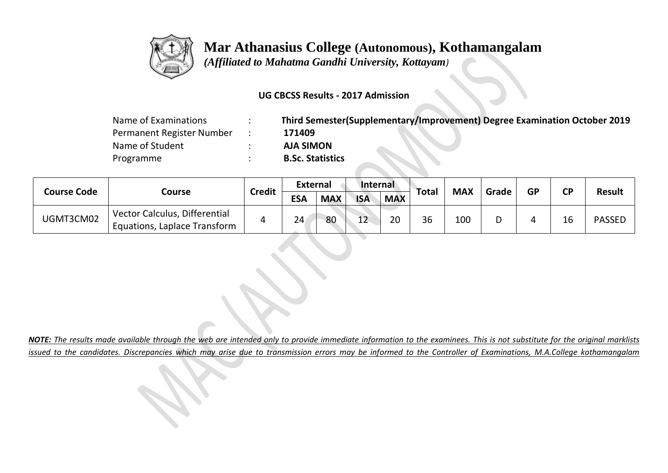

 *(Affiliated to Mahatma Gandhi University, Kottayam)*

### **UG CBCSS Results - 2017 Admission**

| Name of Examinations      | Third Semester(Supplementary/Improvement) Degree Examination October 2019 |
|---------------------------|---------------------------------------------------------------------------|
| Permanent Register Number | 171409                                                                    |
| Name of Student           | <b>AJA SIMON</b>                                                          |
| Programme                 | <b>B.Sc. Statistics</b>                                                   |

|                    |                                                               |               | <b>External</b> |            | Internal   |            |       | <b>MAX</b> |       |           |           | <b>Result</b> |
|--------------------|---------------------------------------------------------------|---------------|-----------------|------------|------------|------------|-------|------------|-------|-----------|-----------|---------------|
| <b>Course Code</b> | Course                                                        | <b>Credit</b> | <b>ESA</b>      | <b>MAX</b> | <b>ISA</b> | <b>MAX</b> | Total |            | Grade | <b>GP</b> | <b>CP</b> |               |
| UGMT3CM02          | Vector Calculus, Differential<br>Equations, Laplace Transform |               | 24              | 80         | $\sim$     | 20         | 36    | 100        | D     |           | 16        | <b>PASSED</b> |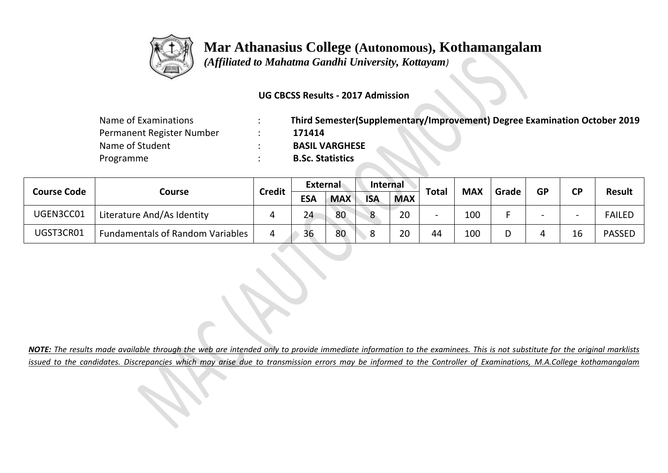

 *(Affiliated to Mahatma Gandhi University, Kottayam)*

#### **UG CBCSS Results - 2017 Admission**

| Name of Examinations      | Third Semester(Supplementary/Improvement) Degree Examination October 2019 |
|---------------------------|---------------------------------------------------------------------------|
| Permanent Register Number | 171414                                                                    |
| Name of Student           | <b>BASIL VARGHESE</b>                                                     |
| Programme                 | <b>B.Sc. Statistics</b>                                                   |

|                    |                                         | <b>Credit</b> | External   |            | <b>Internal</b> |            |              | <b>MAX</b> |       | <b>GP</b> | CP                       |               |
|--------------------|-----------------------------------------|---------------|------------|------------|-----------------|------------|--------------|------------|-------|-----------|--------------------------|---------------|
| <b>Course Code</b> | Course                                  |               | <b>ESA</b> | <b>MAX</b> | <b>ISA</b>      | <b>MAX</b> | <b>Total</b> |            | Grade |           |                          | <b>Result</b> |
| UGEN3CC01          | Literature And/As Identity              |               | 24         | 80         | C               | 20         |              | 100        |       |           | $\overline{\phantom{0}}$ | <b>FAILED</b> |
| UGST3CR01          | <b>Fundamentals of Random Variables</b> | 4             | 36         | 80         | $\circ$<br>ັ    | 20         | 44           | 100        | D     |           | 16                       | <b>PASSED</b> |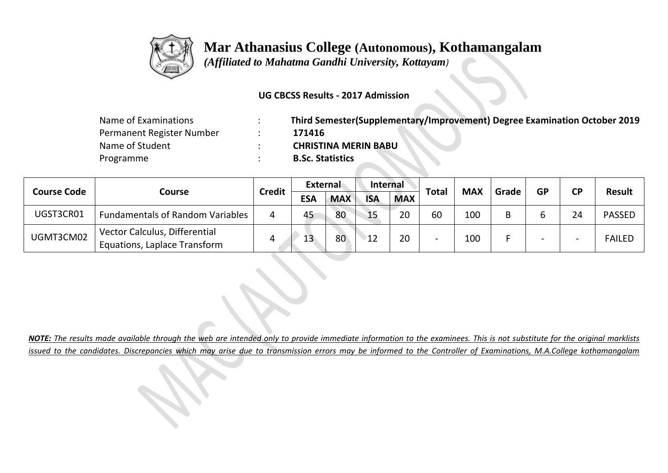

 *(Affiliated to Mahatma Gandhi University, Kottayam)*

#### **UG CBCSS Results - 2017 Admission**

| Name of Examinations      | Third Semester(Supplementary/Improvement) Degree Examination October 2019 |
|---------------------------|---------------------------------------------------------------------------|
| Permanent Register Number | 171416                                                                    |
| Name of Student           | <b>CHRISTINA MERIN BABU</b>                                               |
| Programme                 | <b>B.Sc. Statistics</b>                                                   |

|                    |                                                               | <b>Credit</b> | External   |            | <b>Internal</b> |            | Total | <b>MAX</b> | Grade | <b>GP</b> | CP | <b>Result</b> |
|--------------------|---------------------------------------------------------------|---------------|------------|------------|-----------------|------------|-------|------------|-------|-----------|----|---------------|
| <b>Course Code</b> | Course                                                        |               | <b>ESA</b> | <b>MAX</b> | <b>ISA</b>      | <b>MAX</b> |       |            |       |           |    |               |
| UGST3CR01          | <b>Fundamentals of Random Variables</b>                       | 4             | 45         | 80         | 15              | 20         | 60    | 100        | B     |           | 24 | <b>PASSED</b> |
| UGMT3CM02          | Vector Calculus, Differential<br>Equations, Laplace Transform |               | 13         | 80         | 12              | 20         |       | 100        |       | -         |    | <b>FAILED</b> |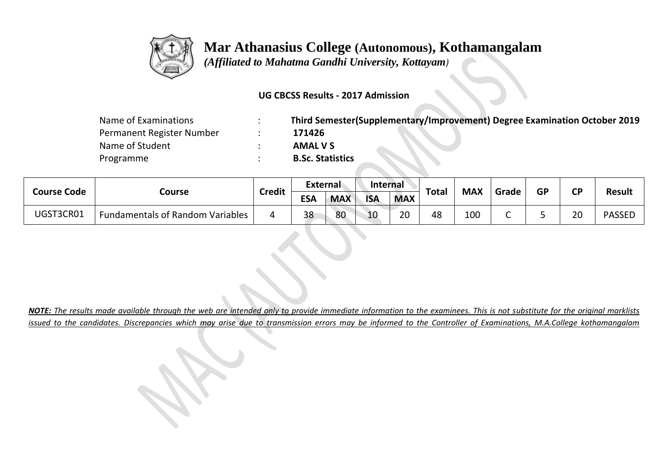

 *(Affiliated to Mahatma Gandhi University, Kottayam)*

#### **UG CBCSS Results - 2017 Admission**

| Name of Examinations      | Third Semester(Supplementary/Improvement) Degree Examination October 2019 |
|---------------------------|---------------------------------------------------------------------------|
| Permanent Register Number | 171426                                                                    |
| Name of Student           | <b>AMAL V S</b>                                                           |
| Programme                 | <b>B.Sc. Statistics</b>                                                   |

| <b>Course Code</b> |                                         | <b>Credit</b> | External   |            | <b>Internal</b> |            | <b>Total</b> | <b>MAX</b> | Grade | <b>GP</b> | <b>CD</b> |               |
|--------------------|-----------------------------------------|---------------|------------|------------|-----------------|------------|--------------|------------|-------|-----------|-----------|---------------|
|                    | Course                                  |               | <b>ESA</b> | <b>MAX</b> | <b>ISA</b>      | <b>MAX</b> |              |            |       |           |           | <b>Result</b> |
| UGST3CR01          | <b>Fundamentals of Random Variables</b> | Δ             | 38         | 80         | 10              | ാറ<br>∠∪   | 48           | 100        |       | ۔         | 20        | <b>PASSED</b> |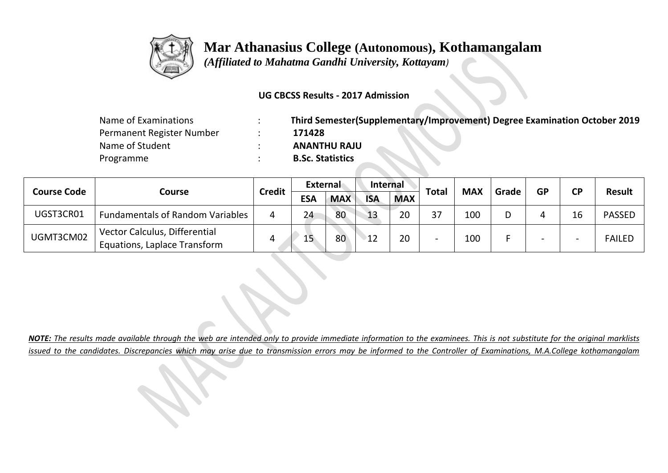

 *(Affiliated to Mahatma Gandhi University, Kottayam)*

#### **UG CBCSS Results - 2017 Admission**

| Name of Examinations      | Third Semester(Supplementary/Improvement) Degree Examination October 2019 |
|---------------------------|---------------------------------------------------------------------------|
| Permanent Register Number | 171428                                                                    |
| Name of Student           | <b>ANANTHU RAJU</b>                                                       |
| Programme                 | <b>B.Sc. Statistics</b>                                                   |

|                    |                                                               | <b>Credit</b> | External   |            | <b>Internal</b> |            | <b>Total</b> | <b>MAX</b> |       | <b>GP</b> |           |               |
|--------------------|---------------------------------------------------------------|---------------|------------|------------|-----------------|------------|--------------|------------|-------|-----------|-----------|---------------|
| <b>Course Code</b> | Course                                                        |               | <b>ESA</b> | <b>MAX</b> | <b>ISA</b>      | <b>MAX</b> |              |            | Grade |           | <b>CP</b> | <b>Result</b> |
| UGST3CR01          | <b>Fundamentals of Random Variables</b>                       |               | 24         | 80         | 13              | 20         | 37           | 100        | D     |           | 16        | <b>PASSED</b> |
| UGMT3CM02          | Vector Calculus, Differential<br>Equations, Laplace Transform |               | 15         | 80         | 12              | 20         |              | 100        |       |           |           | <b>FAILED</b> |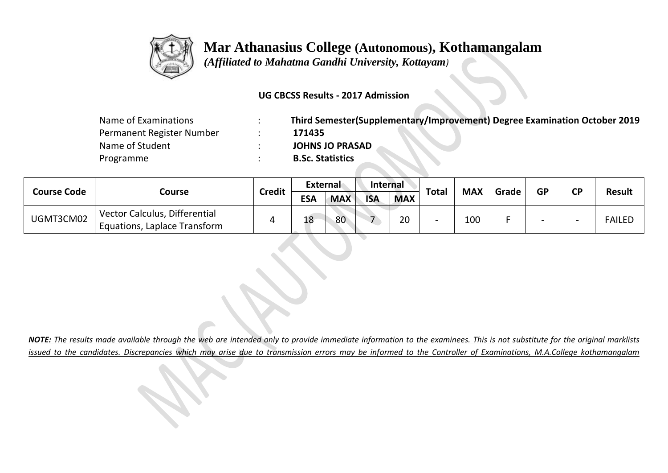

 *(Affiliated to Mahatma Gandhi University, Kottayam)*

### **UG CBCSS Results - 2017 Admission**

| Name of Examinations      | Third Semester(Supplementary/Improvement) Degree Examination October 2019 |
|---------------------------|---------------------------------------------------------------------------|
| Permanent Register Number | 171435                                                                    |
| Name of Student           | <b>JOHNS JO PRASAD</b>                                                    |
| Programme                 | <b>B.Sc. Statistics</b>                                                   |

|                    |                                                               |               | External   |            | <b>Internal</b> |            |       | <b>MAX</b> | Grade |                          |                          | <b>Result</b> |
|--------------------|---------------------------------------------------------------|---------------|------------|------------|-----------------|------------|-------|------------|-------|--------------------------|--------------------------|---------------|
| <b>Course Code</b> | Course                                                        | <b>Credit</b> | <b>ESA</b> | <b>MAX</b> | <b>ISA</b>      | <b>MAX</b> | Total |            |       | <b>GP</b>                | <b>CP</b>                |               |
| UGMT3CM02          | Vector Calculus, Differential<br>Equations, Laplace Transform |               | 18         | 80         |                 | 20         |       | 100        |       | $\overline{\phantom{0}}$ | $\overline{\phantom{0}}$ | <b>FAILED</b> |